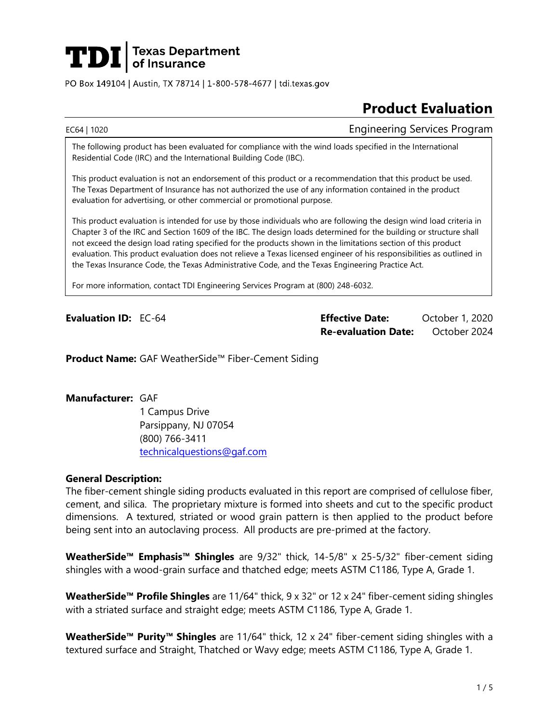

PO Box 149104 | Austin, TX 78714 | 1-800-578-4677 | tdi.texas.gov

# **Product Evaluation**

EC64 | 1020 Engineering Services Program

The following product has been evaluated for compliance with the wind loads specified in the International Residential Code (IRC) and the International Building Code (IBC).

This product evaluation is not an endorsement of this product or a recommendation that this product be used. The Texas Department of Insurance has not authorized the use of any information contained in the product evaluation for advertising, or other commercial or promotional purpose.

This product evaluation is intended for use by those individuals who are following the design wind load criteria in Chapter 3 of the IRC and Section 1609 of the IBC. The design loads determined for the building or structure shall not exceed the design load rating specified for the products shown in the limitations section of this product evaluation. This product evaluation does not relieve a Texas licensed engineer of his responsibilities as outlined in the Texas Insurance Code, the Texas Administrative Code, and the Texas Engineering Practice Act.

For more information, contact TDI Engineering Services Program at (800) 248-6032.

**Evaluation ID:** EC-64 **Effective Date:** October 1, 2020 **Re-evaluation Date:** October 2024

**Product Name:** GAF WeatherSide™ Fiber-Cement Siding

### **Manufacturer:** GAF

1 Campus Drive Parsippany, NJ 07054 (800) 766-3411 [technicalquestions@gaf.com](mailto:technicalquestions@gaf.com)

# **General Description:**

The fiber-cement shingle siding products evaluated in this report are comprised of cellulose fiber, cement, and silica. The proprietary mixture is formed into sheets and cut to the specific product dimensions. A textured, striated or wood grain pattern is then applied to the product before being sent into an autoclaving process. All products are pre-primed at the factory.

**WeatherSide™ Emphasis™ Shingles** are 9/32" thick, 14-5/8" x 25-5/32" fiber-cement siding shingles with a wood-grain surface and thatched edge; meets ASTM C1186, Type A, Grade 1.

**WeatherSide™ Profile Shingles** are 11/64" thick, 9 x 32" or 12 x 24" fiber-cement siding shingles with a striated surface and straight edge; meets ASTM C1186, Type A, Grade 1.

**WeatherSide™ Purity™ Shingles** are 11/64" thick, 12 x 24" fiber-cement siding shingles with a textured surface and Straight, Thatched or Wavy edge; meets ASTM C1186, Type A, Grade 1.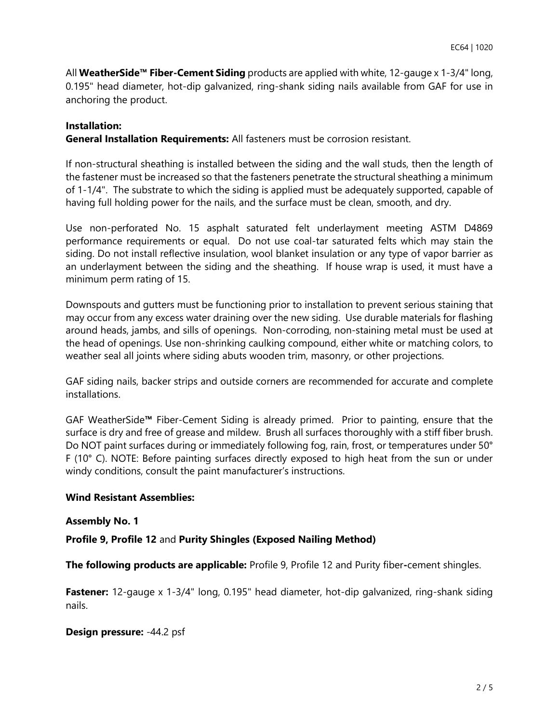All **WeatherSide™ Fiber-Cement Siding** products are applied with white, 12-gauge x 1-3/4" long, 0.195" head diameter, hot-dip galvanized, ring-shank siding nails available from GAF for use in anchoring the product.

# **Installation:**

**General Installation Requirements:** All fasteners must be corrosion resistant.

If non-structural sheathing is installed between the siding and the wall studs, then the length of the fastener must be increased so that the fasteners penetrate the structural sheathing a minimum of 1-1/4". The substrate to which the siding is applied must be adequately supported, capable of having full holding power for the nails, and the surface must be clean, smooth, and dry.

Use non-perforated No. 15 asphalt saturated felt underlayment meeting ASTM D4869 performance requirements or equal. Do not use coal-tar saturated felts which may stain the siding. Do not install reflective insulation, wool blanket insulation or any type of vapor barrier as an underlayment between the siding and the sheathing. If house wrap is used, it must have a minimum perm rating of 15.

Downspouts and gutters must be functioning prior to installation to prevent serious staining that may occur from any excess water draining over the new siding. Use durable materials for flashing around heads, jambs, and sills of openings. Non-corroding, non-staining metal must be used at the head of openings. Use non-shrinking caulking compound, either white or matching colors, to weather seal all joints where siding abuts wooden trim, masonry, or other projections.

GAF siding nails, backer strips and outside corners are recommended for accurate and complete installations.

GAF WeatherSide**™** Fiber-Cement Siding is already primed. Prior to painting, ensure that the surface is dry and free of grease and mildew. Brush all surfaces thoroughly with a stiff fiber brush. Do NOT paint surfaces during or immediately following fog, rain, frost, or temperatures under 50° F (10° C). NOTE: Before painting surfaces directly exposed to high heat from the sun or under windy conditions, consult the paint manufacturer's instructions.

# **Wind Resistant Assemblies:**

### **Assembly No. 1**

**Profile 9, Profile 12** and **Purity Shingles (Exposed Nailing Method)** 

**The following products are applicable:** Profile 9, Profile 12 and Purity fiber**-**cement shingles.

**Fastener:** 12-gauge x 1-3/4" long, 0.195" head diameter, hot-dip galvanized, ring-shank siding nails.

# **Design pressure:** -44.2 psf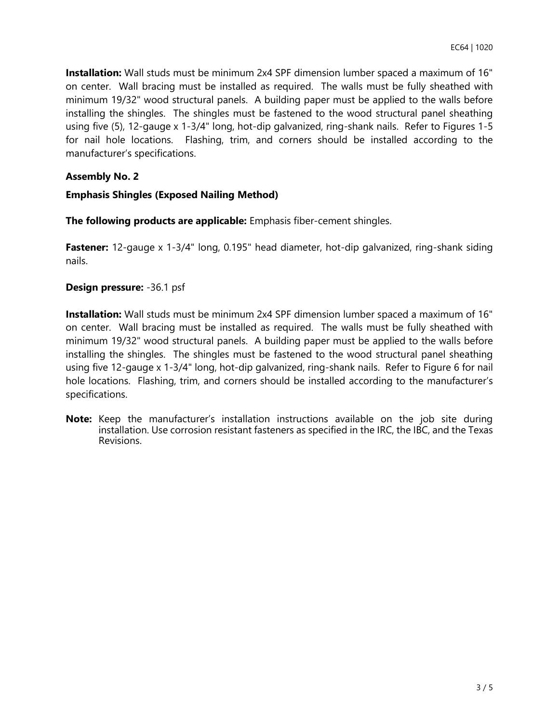**Installation:** Wall studs must be minimum 2x4 SPF dimension lumber spaced a maximum of 16" on center. Wall bracing must be installed as required. The walls must be fully sheathed with minimum 19/32" wood structural panels. A building paper must be applied to the walls before installing the shingles. The shingles must be fastened to the wood structural panel sheathing using five (5), 12-gauge x 1-3/4" long, hot-dip galvanized, ring-shank nails. Refer to Figures 1-5 for nail hole locations. Flashing, trim, and corners should be installed according to the manufacturer's specifications.

# **Assembly No. 2**

# **Emphasis Shingles (Exposed Nailing Method)**

**The following products are applicable:** Emphasis fiber-cement shingles.

**Fastener:** 12-gauge x 1-3/4" long, 0.195" head diameter, hot-dip galvanized, ring-shank siding nails.

# **Design pressure:** -36.1 psf

**Installation:** Wall studs must be minimum 2x4 SPF dimension lumber spaced a maximum of 16" on center. Wall bracing must be installed as required. The walls must be fully sheathed with minimum 19/32" wood structural panels. A building paper must be applied to the walls before installing the shingles. The shingles must be fastened to the wood structural panel sheathing using five 12-gauge x 1-3/4" long, hot-dip galvanized, ring-shank nails. Refer to Figure 6 for nail hole locations. Flashing, trim, and corners should be installed according to the manufacturer's specifications.

**Note:** Keep the manufacturer's installation instructions available on the job site during installation. Use corrosion resistant fasteners as specified in the IRC, the IBC, and the Texas Revisions.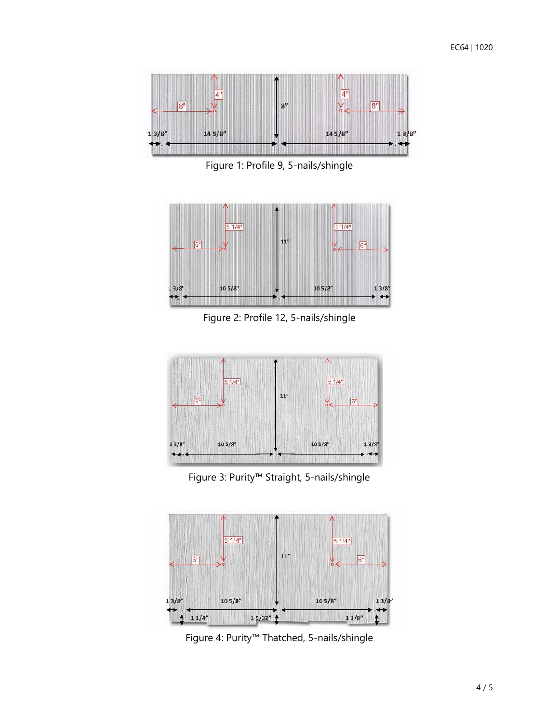

Figure 1: Profile 9, 5-nails/shingle



Figure 2: Profile 12, 5-nails/shingle



Figure 3: Purity™ Straight, 5-nails/shingle



Figure 4: Purity™ Thatched, 5-nails/shingle